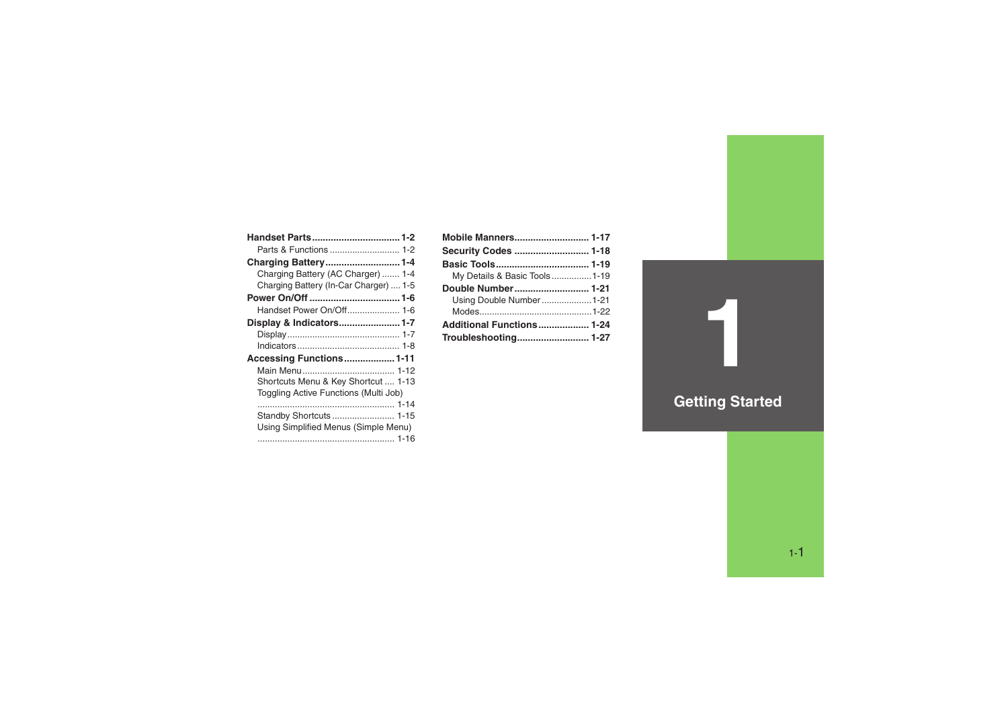| Handset Parts 1-2                      |  |
|----------------------------------------|--|
| Parts & Functions  1-2                 |  |
| Charging Battery1-4                    |  |
| Charging Battery (AC Charger)  1-4     |  |
| Charging Battery (In-Car Charger)  1-5 |  |
|                                        |  |
| Handset Power On/Off 1-6               |  |
| Display & Indicators1-7                |  |
|                                        |  |
|                                        |  |
| Accessing Functions 1-11               |  |
|                                        |  |
| Shortcuts Menu & Key Shortcut  1-13    |  |
| Toggling Active Functions (Multi Job)  |  |
|                                        |  |
| Standby Shortcuts  1-15                |  |
| Using Simplified Menus (Simple Menu)   |  |
|                                        |  |

| <b>Mobile Manners 1-17</b>   |  |
|------------------------------|--|
|                              |  |
|                              |  |
| My Details & Basic Tools1-19 |  |
|                              |  |
| Using Double Number1-21      |  |
|                              |  |
| Additional Functions 1-24    |  |
|                              |  |

## **Getting Started**

**1**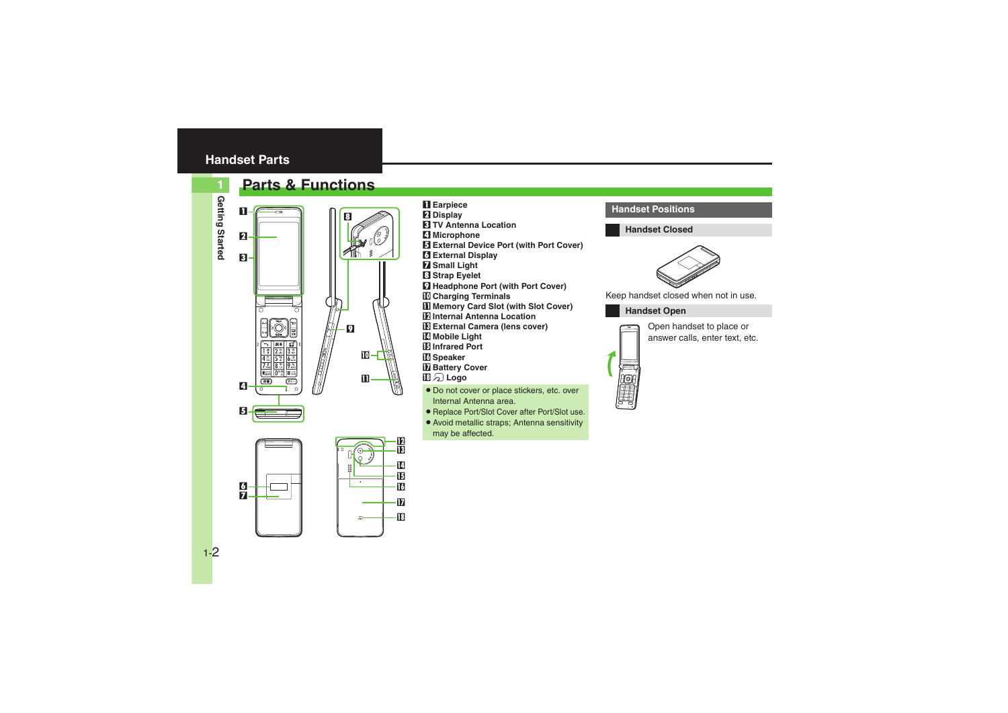### <span id="page-1-0"></span>**Handset Parts**

#### <span id="page-1-1"></span>**Parts & Functions**



**1**







9

in-

 $\mathbf{u}$ 

8

- 1 **Earpiece**
- 2 **Display**
- 3 **TV Antenna Location**
- 4 **Microphone**
- 5 **External Device Port (with Port Cover)**
- 6 **External Display**
- 7 **Small Light**
- 8 **Strap Eyelet**
- 9 **Headphone Port (with Port Cover)**
- a **Charging Terminals**
- **II Memory Card Slot (with Slot Cover)**
- **E** Internal Antenna Location
- d **External Camera (lens cover)**
- **E** Mobile Light
- **E** Infrared Port
- **17** Speaker
- **H** Battery Cover
- im **Logo**
- . Do not cover or place stickers, etc. over Internal Antenna area.
- . Replace Port/Slot Cover after Port/Slot use.
- . Avoid metallic straps; Antenna sensitivity may be affected.

#### **Handset Positions**

**Handset Closed**



Keep handset closed when not in use.

#### **Handset Open**



Open handset to place or answer calls, enter text, etc.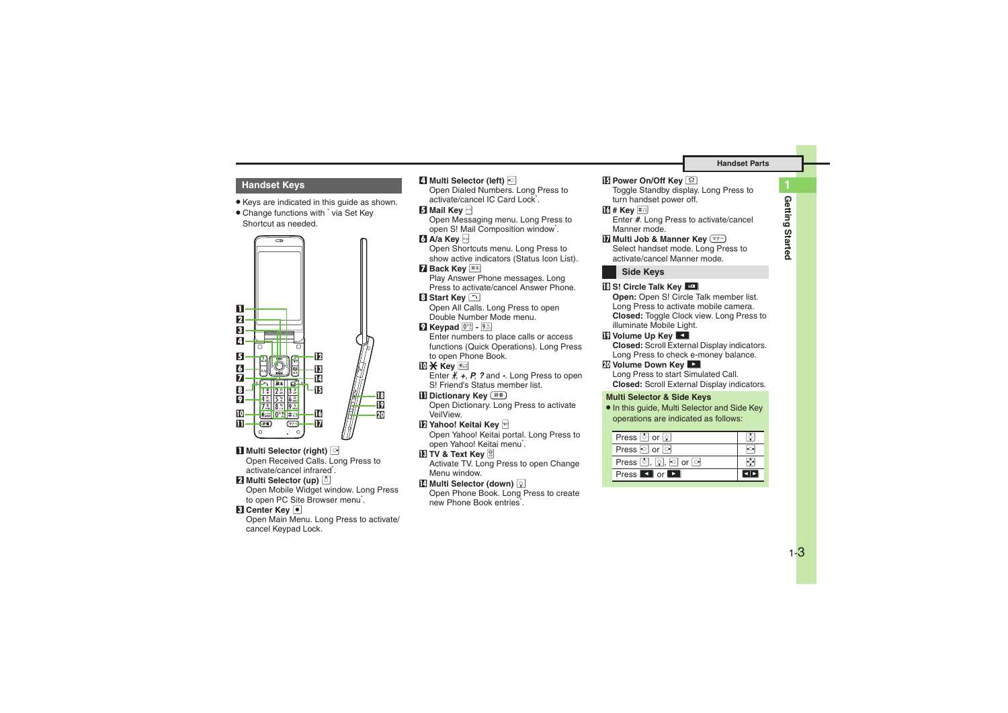**Handset Parts**

#### **Handset Keys**

- . Keys are indicated in this guide as shown.
- Change functions with <sup>\*</sup> via Set Key Shortcut as needed.



#### **1** Multi Selector (right)  $\odot$

Open Received Calls. Long Press to activate/cancel infrared<sup>\*</sup>.

#### **2** Multi Selector (up) **b**

Open Mobile Widget window. Long Press to open PC Site Browser menu<sup>\*</sup>.

#### **8** Center Key  $\bullet$

Open Main Menu. Long Press to activate/ cancel Keypad Lock.

#### 4 **Multi Selector (left)** c

Open Dialed Numbers. Long Press to activate/cancel IC Card Lock\*.

#### 5 **Mail Key** B

Open Messaging menu. Long Press to open S! Mail Composition window<sup>\*</sup>.

#### 6 **A/a Key** '

Open Shortcuts menu. Long Press to show active indicators (Status Icon List).

#### **7 Back Key R&**

 Play Answer Phone messages. Long Press to activate/cancel Answer Phone.

#### **B** Start Key  $\Box$

 Open All Calls. Long Press to open Double Number Mode menu.

#### 9 **Keypad** 0 **-** 9

Enter numbers to place calls or access functions (Quick Operations). Long Press to open Phone Book.

#### **lি <del>X</del> Key**

Enter  $\cancel{f}$  + *P*, *?* and -. Long Press to open S! Friend's Status member list.

#### **Dictionary Key** <sup>[##]</sup>

 Open Dictionary. Long Press to activate VeilView.

#### **12 Yahoo! Keitai Key ⊠**

Open Yahoo! Keitai portal. Long Press to open Yahoo! Keitai menu\*.

#### **l** $E$  **TV & Text Key**  $\mathbb{B}$

Activate TV. Long Press to open Change Menu window.

#### **E** Multi Selector (down) 2

Open Phone Book. Long Press to create new Phone Book entries\*.

#### $\mathbf E$  Power On/Off Key ি

 Toggle Standby display. Long Press to turn handset power off.

#### g **# Key** #

Enter *#*. Long Press to activate/cancel Manner mode.

#### $\blacksquare$  **Multi Job & Manner Key**  $\boxed{\triangleleft}$

 Select handset mode. Long Press to activate/cancel Manner mode.

#### **Side Keys**

#### **i** S! Circle Talk Key **H**

 **Open:** Open S! Circle Talk member list. Long Press to activate mobile camera. **Closed:** Toggle Clock view. Long Press to illuminate Mobile Light.

#### **ig** Volume Up Key **Ext**

 **Closed:** Scroll External Display indicators. Long Press to check e-money balance.

#### **K** Volume Down Key **Ex**

 Long Press to start Simulated Call. **Closed:** Scroll External Display indicators.

#### **Multi Selector & Side Keys**

. In this guide, Multi Selector and Side Key operations are indicated as follows:

| Press $\circ$ or $\circ$   |  |
|----------------------------|--|
| Press or o                 |  |
|                            |  |
| Press <b>T</b> or <b>D</b> |  |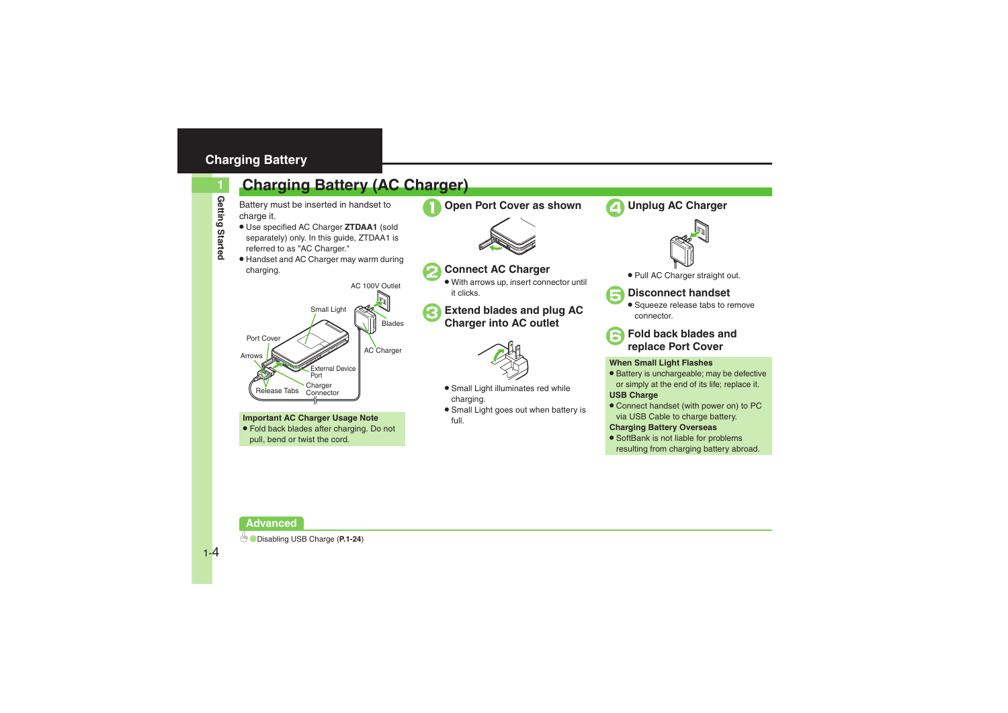### <span id="page-3-0"></span>**Charging Battery**

## <span id="page-3-1"></span>**Charging Battery (AC Charger)**

Battery must be inserted in handset to charge it.

- . Use specified AC Charger **ZTDAA1** (sold separately) only. In this guide, ZTDAA1 is referred to as "AC Charger."
- . Handset and AC Charger may warm during charging.



**Important AC Charger Usage Note** . Fold back blades after charging. Do not pull, bend or twist the cord.



**Connect AC Charger** With arrows up, insert connector until

<sup>3</sup>**Extend blades and plug AC Charger into AC outlet**

. Small Light illuminates red while

**•** Small Light goes out when battery is

it clicks.

charging.

full.



4**Unplug AC Charger**



. Pull AC Charger straight out.



### 5**Disconnect handset** .

• Squeeze release tabs to remove connector.



# <sup>6</sup>**Fold back blades and replace Port Cover**

#### **When Small Light Flashes**

- . Battery is unchargeable; may be defective or simply at the end of its life; replace it. **USB Charge**
- Connect handset (with power on) to PC via USB Cable to charge battery.

#### **Charging Battery Overseas**

• SoftBank is not liable for problems resulting from charging battery abroad.

#### **Advanced**

**1**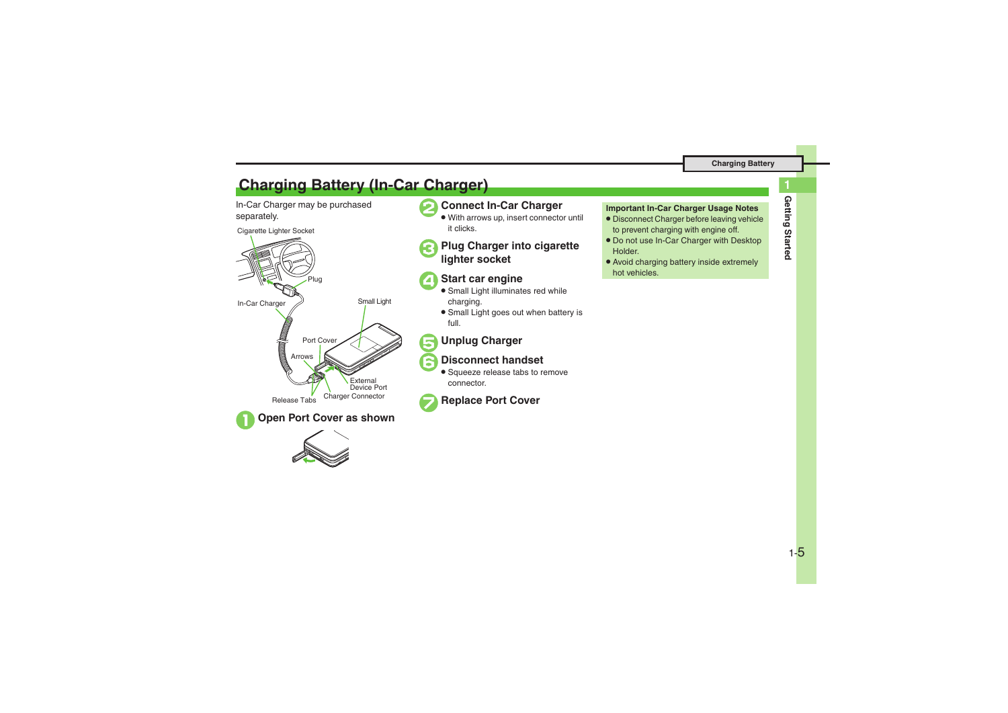### <span id="page-4-0"></span>**Charging Battery (In-Car Charger)**

In-Car Charger may be purchased separately.







#### 2**Connect In-Car Charger**

. With arrows up, insert connector until it clicks.

<sup>3</sup>**Plug Charger into cigarette lighter socket**

### 4**Start car engine**

- . Small Light illuminates red while charging.
- **•** Small Light goes out when battery is full.

### 5**Unplug Charger**

### 6**Disconnect handset**

**•** Squeeze release tabs to remove connector.



#### **Important In-Car Charger Usage Notes**

- . Disconnect Charger before leaving vehicle to prevent charging with engine off.
- . Do not use In-Car Charger with Desktop Holder.
- . Avoid charging battery inside extremely hot vehicles.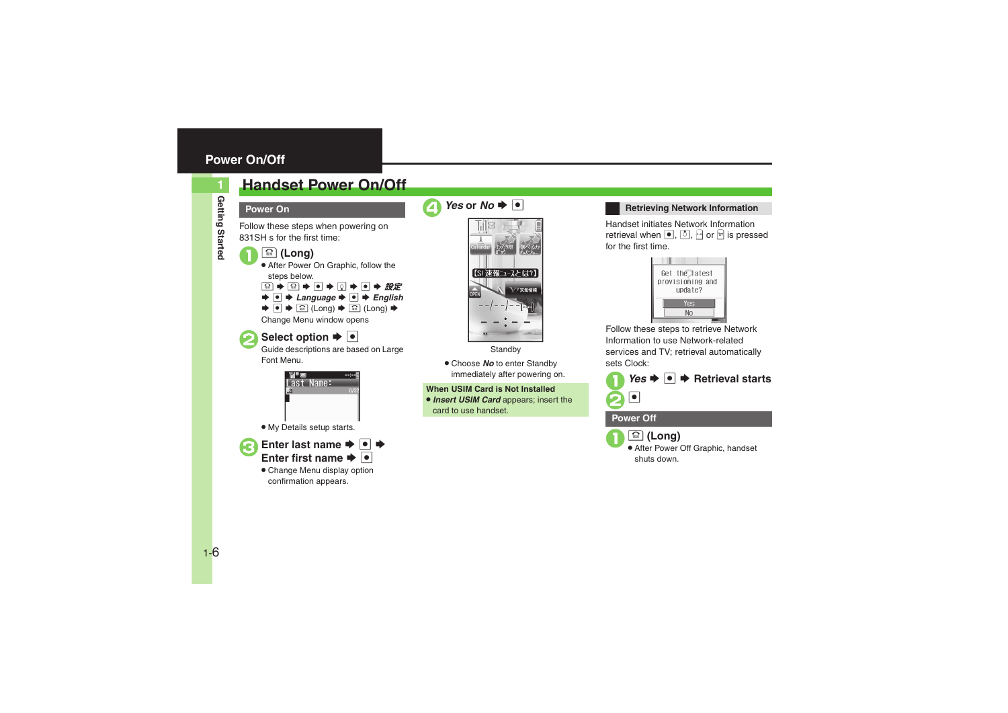### <span id="page-5-0"></span>**Power On/Off**

### <span id="page-5-1"></span>**Handset Power On/Off**

**Power On**

Follow these steps when powering on 831SH s for the first time:

#### $\boxed{\circledrel{}}$  (Long)

 After Power On Graphic, follow the steps below.

 $\textcolor{blue}{\textbf{3} \mathord{\blacktriangleright} \textcolor{blue}{\textbf{3} \mathord{\blacktriangleright}} \textcolor{blue}{\textbf{6} \mathord{\blacktriangleright} \textcolor{blue}{\textbf{7}}} \bullet \textcolor{blue}{\textbf{8} \mathord{\blacktriangleright}} \textcolor{blue}{\textbf{9} \mathord{\blacktriangleright} \textcolor{blue}{\textbf{8} \mathord{\blacktriangleright}} \textcolor{blue}{\textbf{9}}$  $\rightarrow$  **O**  $\rightarrow$  *Language*  $\rightarrow$  **O**  $\rightarrow$  *English*  $\blacktriangleright$   $\lceil \Theta \rceil$   $\blacktriangleright$   $\lceil \Omega \rceil$  (Long)  $\blacktriangleright$ 

Change Menu window opens

# **Select option**  $\rightarrow$  **0**<br>Guide descriptions are based on Large

Font Menu.



. My Details setup starts.



**Enter last name**  $\rightarrow \bullet$ Enter first name  $\blacktriangleright \lceil \bullet \rceil$ 

. Change Menu display option confirmation appears.





**Standby** 

. Choose *No* to enter Standby immediately after powering on.

#### **When USIM Card is Not Installed**

. *Insert USIM Card* appears; insert the card to use handset.

#### **Retrieving Network Information**

Handset initiates Network Information retrieval when  $\begin{bmatrix} \bullet \\ \bullet \end{bmatrix}$ ,  $\begin{bmatrix} \bullet \\ \bullet \end{bmatrix}$ ,  $\begin{bmatrix} \cdot \circ \\ \cdot \circ \end{bmatrix}$  or  $\begin{bmatrix} \circ \\ \circ \end{bmatrix}$  is pressed for the first time.



Follow these steps to retrieve Network Information to use Network-related services and TV; retrieval automatically sets Clock:



#### **Power Off**

**<u>ि (Long)</u>**  After Power Off Graphic, handset shuts down.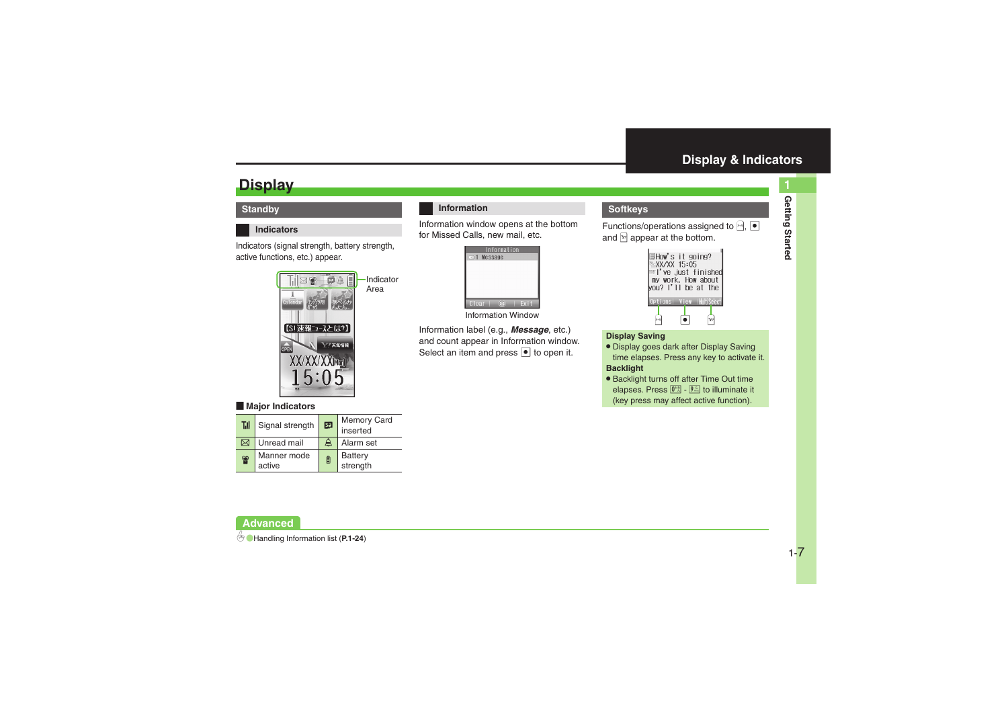### <span id="page-6-1"></span>**Display**

#### **Standby**

#### **Indicators**

Indicators (signal strength, battery strength, active functions, etc.) appear.

> Indicator Area



#### [ **Major Indicators**

| Til | Signal strength       | 52               | Memory Card<br>inserted |
|-----|-----------------------|------------------|-------------------------|
| ⋈   | Unread mail           | $\triangleright$ | Alarm set               |
| န္  | Manner mode<br>active | 目                | Battery<br>strength     |

#### **Information**

Information window opens at the bottom for Missed Calls, new mail, etc.

|                   | Information |      |
|-------------------|-------------|------|
| <b>□1 Message</b> |             |      |
|                   |             |      |
|                   |             |      |
|                   |             |      |
|                   |             |      |
| Clear             |             | Exit |

Information Window

Information label (e.g., *Message*, etc.) and count appear in Information window. Select an item and press  $\bullet$  to open it.

#### <span id="page-6-0"></span>**Softkeys**

Functions/operations assigned to  $\mathbb{P},\ \bullet$ and  $\boxed{\mathbf{v}}$  appear at the bottom.



#### **Display Saving**

- . Display goes dark after Display Saving time elapses. Press any key to activate it. **Backlight**
- **Backlight turns off after Time Out time** elapses. Press  $[0.85]$  -  $[9.55]$  to illuminate it (key press may affect active function).

**Advanced**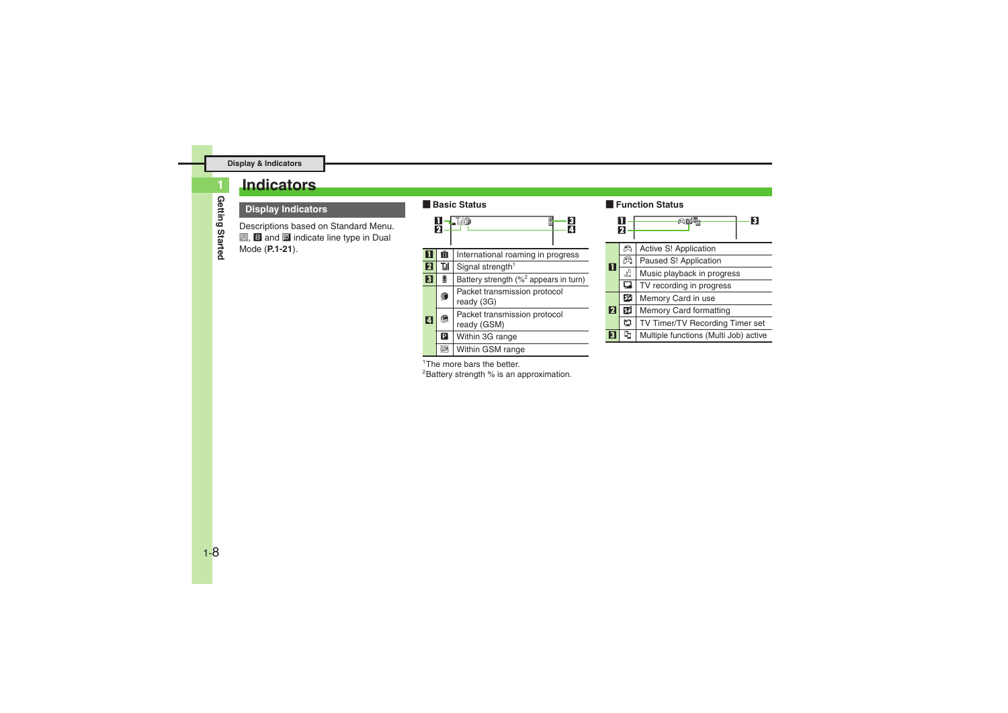### <span id="page-7-0"></span>**Indicators**

#### **Display Indicators**

Descriptions based on Standard Menu.  $\blacksquare$ ,  $\blacksquare$  and  $\blacksquare$  indicate line type in Dual Mode (**[P.1-21](#page-20-0)**).

#### [ **Basic Status**



#### [ **Function Status**

|                                    | n   | 3                                     |
|------------------------------------|-----|---------------------------------------|
|                                    | a   | Active S! Application                 |
| 11                                 | ణ   | Paused S! Application                 |
|                                    | чy  | Music playback in progress            |
|                                    | ם   | TV recording in progress              |
|                                    | lзS | Memory Card in use                    |
| 12<br>Memory Card formatting<br>51 |     |                                       |
|                                    | ⋍   | TV Timer/TV Recording Timer set       |
|                                    |     | Multiple functions (Multi Job) active |

<sup>1</sup>The more bars the better.

<sup>2</sup>Battery strength % is an approximation.

**1**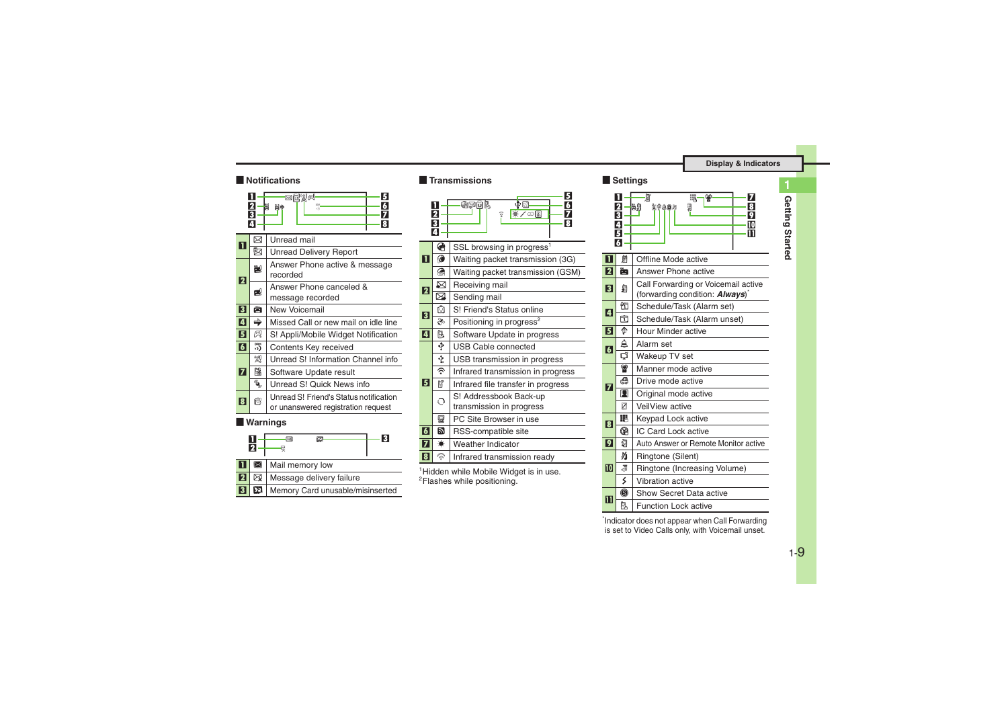#### [ **Notifications**

|                | 21<br>3<br>4                             | 96%4<br>5<br>羀<br>謂<br>買⇒                                                    |  |  |
|----------------|------------------------------------------|------------------------------------------------------------------------------|--|--|
| П              | ⊠                                        | Unread mail                                                                  |  |  |
|                | 盷                                        | <b>Unread Delivery Report</b>                                                |  |  |
| 2              | ř.                                       | Answer Phone active & message<br>recorded                                    |  |  |
|                | рQ                                       | Answer Phone canceled &<br>message recorded                                  |  |  |
| 3              | 尚                                        | New Voicemail                                                                |  |  |
| 4              | ⇛                                        | Missed Call or new mail on idle line                                         |  |  |
| 151            | CI.                                      | S! Appli/Mobile Widget Notification                                          |  |  |
| $\overline{6}$ | 罚                                        | Contents Key received                                                        |  |  |
|                | 20<br>Unread S! Information Channel info |                                                                              |  |  |
| 7              | 鶞                                        | Software Update result                                                       |  |  |
|                | E <sub>SU</sub>                          | Unread S! Quick News info                                                    |  |  |
| । ह            | C                                        | Unread S! Friend's Status notification<br>or unanswered registration request |  |  |
|                |                                          | <b>Warnings</b>                                                              |  |  |
|                | п<br>2                                   | 3<br>$\boxtimes$<br>図-<br>⊗                                                  |  |  |

|  | Mail memory low                      |
|--|--------------------------------------|
|  | <b>2</b> EX Message delivery failure |
|  | Memory Card unusable/misinserted     |

#### [ **Transmissions**



<sup>1</sup> Hidden while Mobile Widget is in use. 2Flashes while positioning.

#### [ **Settings**



\*Indicator does not appear when Call Forwarding is set to Video Calls only, with Voicemail unset.

**Getting Started**

Getting Started

**1**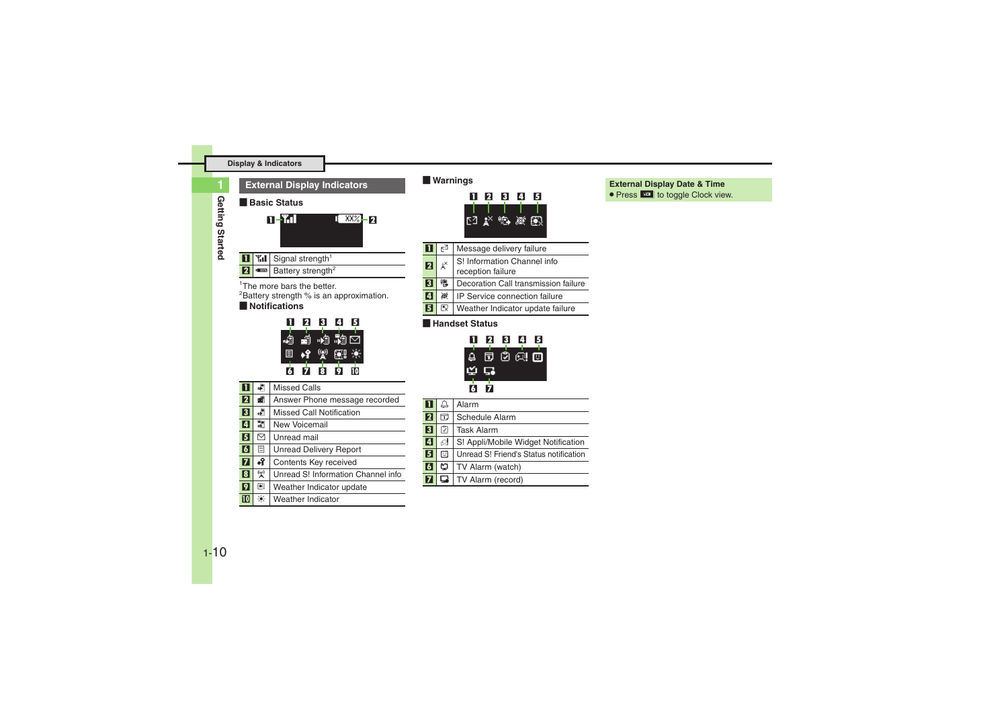#### **Display & Indicators**

**1**

| <b>External Display Indicators</b>                                                                                   |                                        |                                                                                                                 |  |
|----------------------------------------------------------------------------------------------------------------------|----------------------------------------|-----------------------------------------------------------------------------------------------------------------|--|
|                                                                                                                      |                                        | <b>Basic Status</b>                                                                                             |  |
|                                                                                                                      |                                        | <u>n - Til</u><br>1 882 <b>- 2</b>                                                                              |  |
|                                                                                                                      |                                        | <b>Til</b> Signal strength <sup>1</sup>                                                                         |  |
| $\overline{\mathbf{2}}$                                                                                              | 1,000,000                              | Battery strength <sup>2</sup>                                                                                   |  |
|                                                                                                                      |                                        | <sup>1</sup> The more bars the better.<br><sup>2</sup> Battery strength % is an approximation.<br>Notifications |  |
| 3<br>4<br>2<br>ß<br><i>•</i> •ಿ •ಿ ⊡<br>经贸圈条<br>$\Box$<br>$\overline{\mathbf{8}}$<br>ġ.<br>$\overline{6}$<br>Й<br>то |                                        |                                                                                                                 |  |
| ī                                                                                                                    | 閑                                      | <b>Missed Calls</b>                                                                                             |  |
| 12                                                                                                                   | đ                                      | Answer Phone message recorded                                                                                   |  |
| $\overline{\mathbf{3}}$                                                                                              | 視                                      | Missed Call Notification                                                                                        |  |
| $\overline{4}$                                                                                                       | 鷛                                      | New Voicemail                                                                                                   |  |
| $\overline{\mathbf{5}}$                                                                                              | ⊠                                      | Unread mail                                                                                                     |  |
| $\overline{6}$                                                                                                       | 目                                      | <b>Unread Delivery Report</b>                                                                                   |  |
| 7                                                                                                                    | ٠î                                     | Contents Key received                                                                                           |  |
| $\overline{\mathbf{3}}$                                                                                              | $\mathbf{A}^{(n)}$                     | Unread S! Information Channel info                                                                              |  |
| ヮ                                                                                                                    | $\begin{bmatrix} 0 \\ 0 \end{bmatrix}$ | Weather Indicator update                                                                                        |  |
| 10                                                                                                                   | 米                                      | Weather Indicator                                                                                               |  |

#### [ **Warnings**

| 21 | н    | 41 | Б |
|----|------|----|---|
|    | 网络鸡肉 |    |   |

#### 1 $E^2$  Message delivery failure **2**  $\mathbf{x}^{\times}$  S! Information Channel info reception failure **3 B** Decoration Call transmission failure

- 4※ IP Service connection failure
- 5 $\mathbb{R}$  Weather Indicator update failure

#### [ **Handset Status**



|                         | $\triangle$ | Alarm                                  |
|-------------------------|-------------|----------------------------------------|
| $\overline{\mathbf{2}}$ | 帀           | Schedule Alarm                         |
| $\overline{3}$          | M           | <b>Task Alarm</b>                      |
| 4                       | e!          | S! Appli/Mobile Widget Notification    |
| $\overline{5}$          | 冋           | Unread S! Friend's Status notification |
| $\overline{6}$          | ഇ           | TV Alarm (watch)                       |
|                         | -⊑          | TV Alarm (record)                      |

#### **External Display Date & Time**

• Press **H** to toggle Clock view.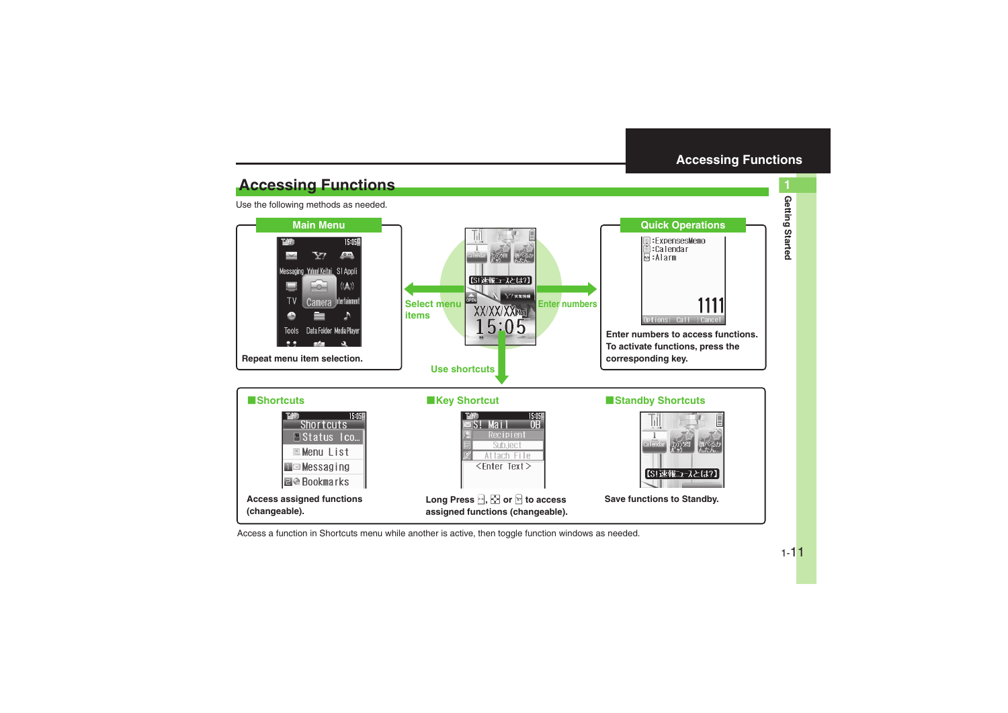<span id="page-10-0"></span>**Getting Started 1**

Getting Started

### **Accessing Functions**

Use the following methods as needed.



Access a function in Shortcuts menu while another is active, then toggle function windows as needed.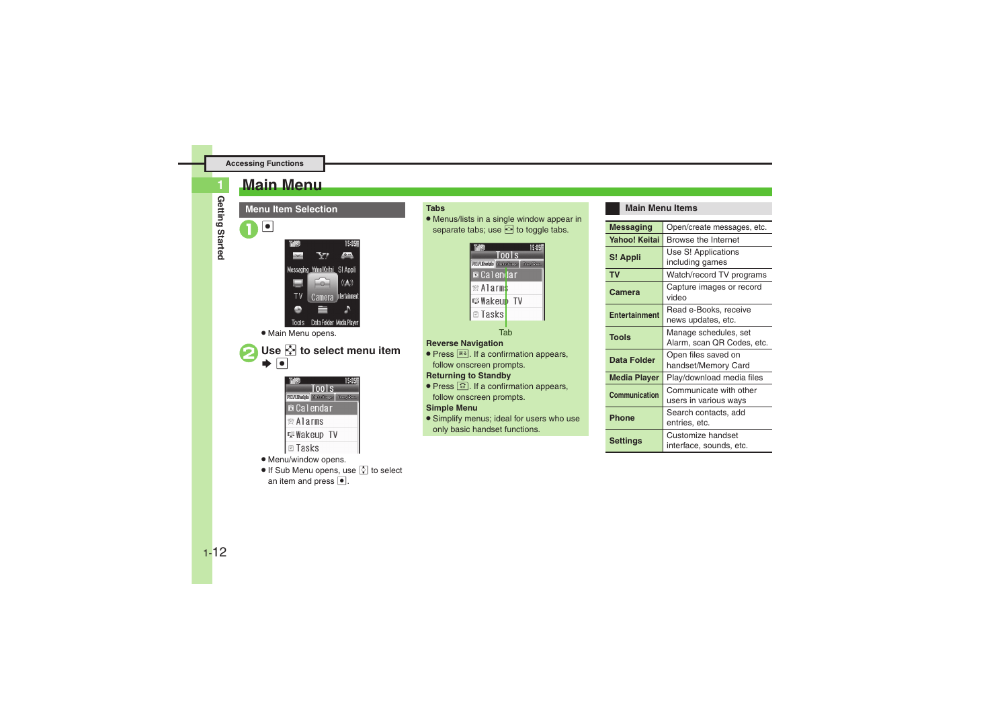### <span id="page-11-0"></span>**Main Menu**

**1**

**Menu Item Selection** $\boxed{\bullet}$ 15:05国 **STA** Y7 Messaging Yahoo! Keitai S! Appli  $((\bigwedge))$ TV **Intertainmer** Camera Tools Data Folder Media Player . Main Menu opens. **Use**  $\frac{1}{2}$  to select menu item  $\blacktriangleright$   $\blacktriangleright$ 

| THED                                 |       | 15 |
|--------------------------------------|-------|----|
|                                      | Tools |    |
| <b>MINURadvis Chais/Games Dec./B</b> |       |    |
| $\blacksquare$ Calendar              |       |    |
| 曾 Alarms                             |       |    |
| $\cong$ Wakeup TV                    |       |    |
| $\boxdot$ Tasks                      |       |    |
|                                      |       |    |

#### . Menu/window opens.

If Sub Menu opens, use  $\lbrack \Omega \rbrack$  to select an item and press  $\bullet$ .

#### **Tabs**

. Menus/lists in a single window appear in separate tabs; use  $\heartsuit$  to toggle tabs.



#### **Reverse Navigation**

• Press  $\overline{R}$ . If a confirmation appears, follow onscreen prompts.

#### **Returning to Standby**

• Press  $\blacksquare$  If a confirmation appears, follow onscreen prompts.

#### **Simple Menu**

. Simplify menus; ideal for users who use only basic handset functions.

#### **Main Menu Items**

| <b>Messaging</b>     | Open/create messages, etc.                          |  |
|----------------------|-----------------------------------------------------|--|
| Yahoo! Keitai        | Browse the Internet                                 |  |
| S! Appli             | Use S! Applications<br>including games              |  |
| <b>TV</b>            | Watch/record TV programs                            |  |
| Camera               | Capture images or record<br>video                   |  |
| <b>Entertainment</b> | Read e-Books, receive<br>news updates, etc.         |  |
| <b>Tools</b>         | Manage schedules, set<br>Alarm, scan QR Codes, etc. |  |
| Data Folder          | Open files saved on<br>handset/Memory Card          |  |
| <b>Media Player</b>  | Play/download media files                           |  |
| Communication        | Communicate with other<br>users in various ways     |  |
| Phone                | Search contacts, add<br>entries, etc.               |  |
| Settings             | Customize handset<br>interface, sounds, etc.        |  |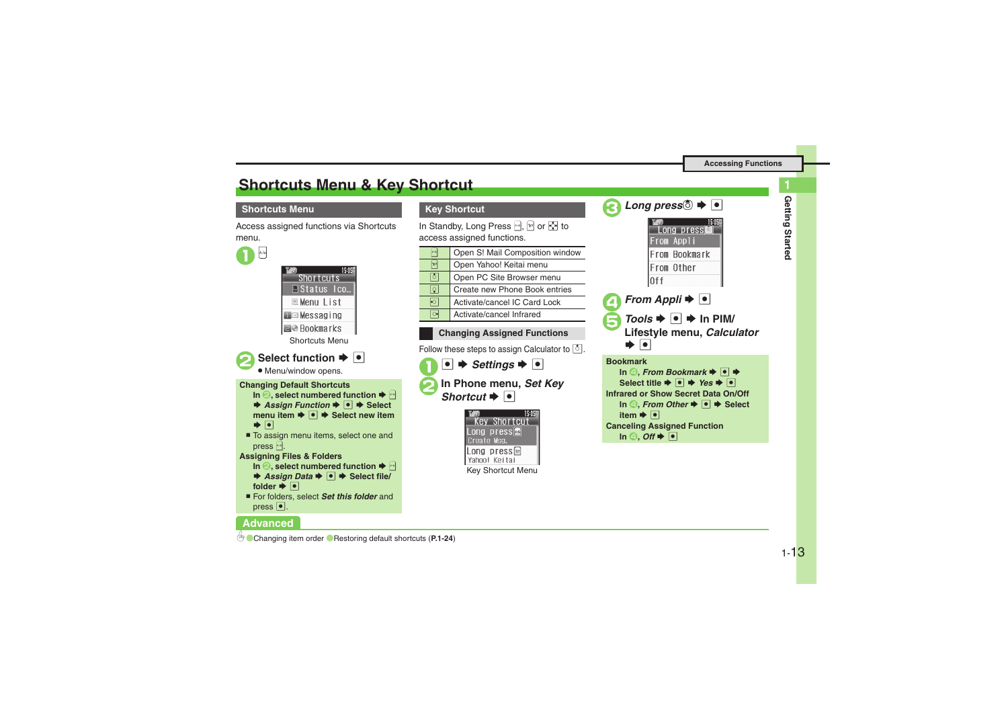**Getting Started 1**

Getting Started

### <span id="page-12-0"></span>**Shortcuts Menu & Key Shortcut**

#### **Shortcuts Menu**

Access assigned functions via Shortcuts menu.



#### **Advanced**

**Key Shortcut**

In Standby, Long Press <mark>A, ⊠or ⊗</mark> to access assigned functions.

| $x - x$ | Open S! Mail Composition window |
|---------|---------------------------------|
| Y       | Open Yahoo! Keitai menu         |
| Ō       | Open PC Site Browser menu       |
| Q'      | Create new Phone Book entries   |
|         | Activate/cancel IC Card Lock    |
|         | Activate/cancel Infrared        |
|         |                                 |

#### **Changing Assigned Functions**

Follow these steps to assign Calculator to  $\lceil \delta \rceil$ .

 $\mathbf 0$ **■ → Settings → ■ In Phone menu, Set Key**  $\blacktriangleright$   $\boxed{\bullet}$ 





| TH <sub>1</sub> 60 | 15:05<br>Long press |
|--------------------|---------------------|
|                    | From Appli          |
|                    | From Bookmark       |
|                    | From Other          |
| 0ff                |                     |



```
BookmarkIn ④, From Bookmark ➡ ● ➡
     Select title \bigtriangledown o \bigtriangledown Yes \bigtriangledown o
Infrared or Show Secret Data On/OffIn ◎, From Other \rightarrow <sup>●</sup> → Select
      item \blacktriangleright \lceil \bullet \rceilCanceling Assigned Function
      In ④, Off \blacklozenge <u>●</u>
```
0([Changing item order](#page-23-3)  ([Restoring default shortcuts](#page-23-4) (**[P.1-24](#page-23-3)**)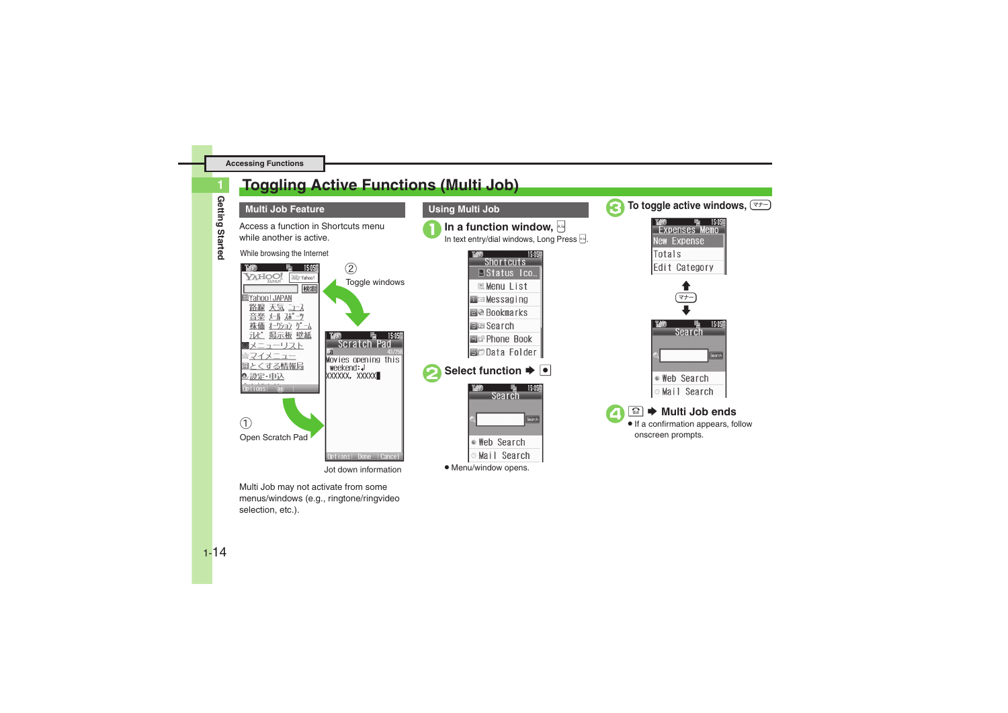### <span id="page-13-0"></span>**Toggling Active Functions (Multi Job)**



**1**

#### **Multi Job Feature**

Access a function in Shortcuts menu while another is active.





Multi Job may not activate from some menus/windows (e.g., ringtone/ringvideo selection, etc.).



. Menu/window opens.

**Using Multi Job**

15:05

15:05

Search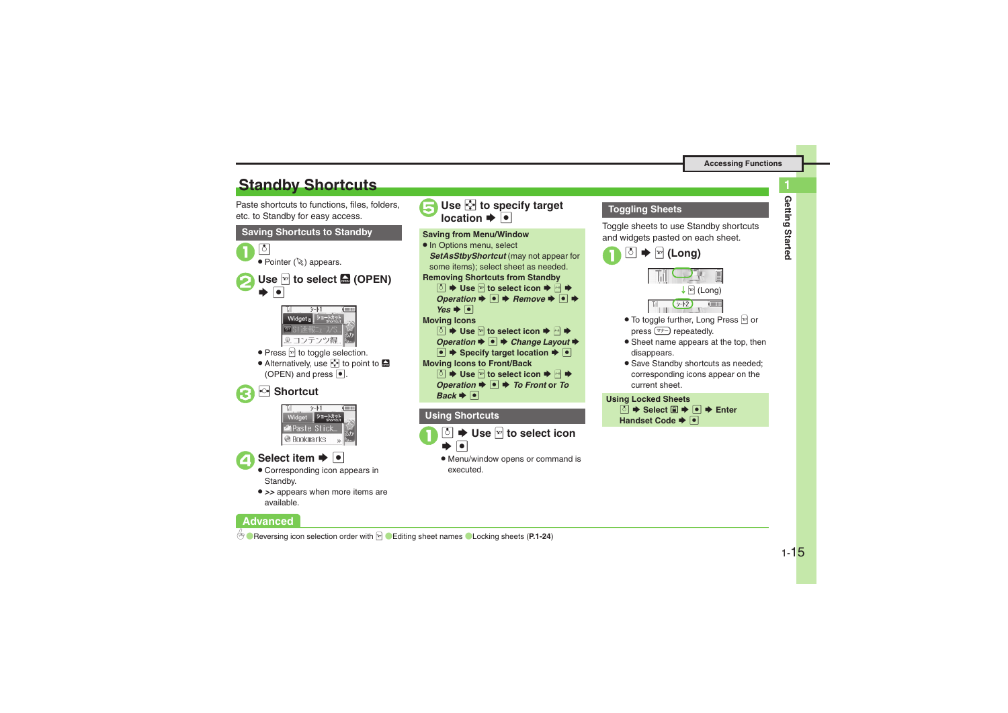### <span id="page-14-0"></span>**Standby Shortcuts**

Paste shortcuts to functions, files, folders, etc. to Standby for easy access.





- available.
- **Advanced**



#### **Using Shortcuts**



. Menu/window opens or command is executed.

#### **Toggling Sheets**

Toggle sheets to use Standby shortcuts and widgets pasted on each sheet.





- $\bullet$  To toggle further, Long Press  $\boxed{\mathbb{F}}$  or press  $\boxed{\text{at}}$  repeatedly.
- **•** Sheet name appears at the top, then disappears.
- **Save Standby shortcuts as needed;** corresponding icons appear on the current sheet.

#### **Using Locked Sheets**

**b**  $\blacktriangleright$  Select **□**  $\blacktriangleright$  **• Enter Handset Code**  $\rightarrow \bullet$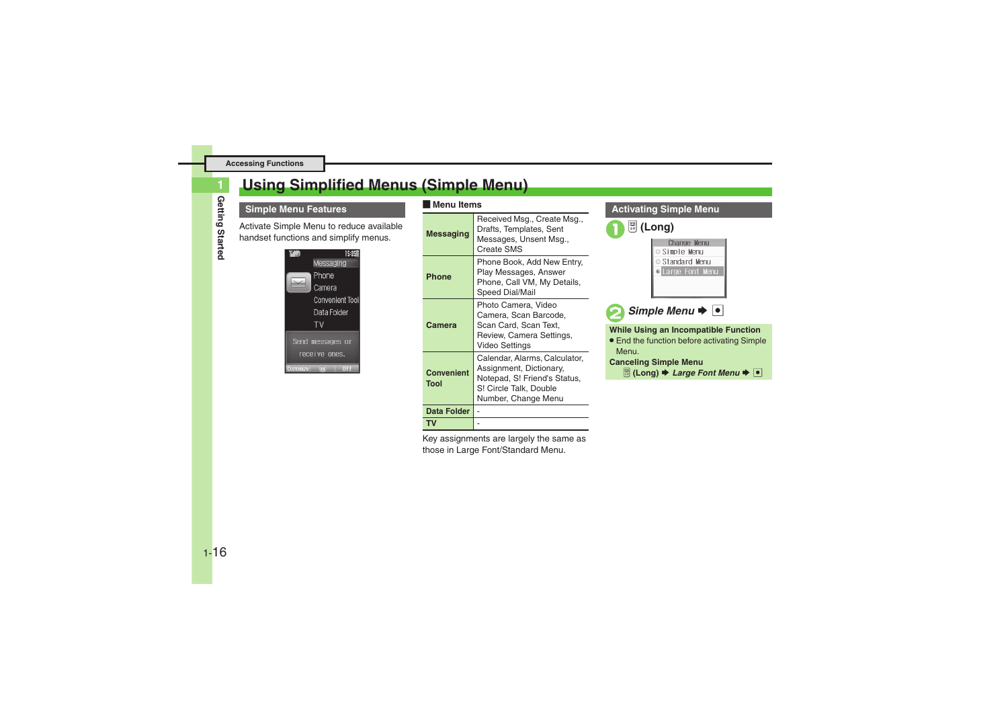### <span id="page-15-0"></span>**Using Simplified Menus (Simple Menu)**

Getting Started **Getting Started**

**1**

#### **Simple Menu Features**

Activate Simple Menu to reduce available handset functions and simplify menus.



#### [ **Menu Items**

| <b>Messaging</b>                                                                                                                                                              | Received Msg., Create Msg.,<br>Drafts, Templates, Sent<br>Messages, Unsent Msg.,<br>Create SMS                             |  |  |
|-------------------------------------------------------------------------------------------------------------------------------------------------------------------------------|----------------------------------------------------------------------------------------------------------------------------|--|--|
| Phone                                                                                                                                                                         | Phone Book, Add New Entry,<br>Play Messages, Answer<br>Phone, Call VM, My Details,<br>Speed Dial/Mail                      |  |  |
| Camera                                                                                                                                                                        | Photo Camera, Video<br>Camera, Scan Barcode,<br>Scan Card, Scan Text,<br>Review, Camera Settings,<br><b>Video Settings</b> |  |  |
| Calendar, Alarms, Calculator,<br>Assignment, Dictionary,<br><b>Convenient</b><br>Notepad, S! Friend's Status,<br><b>Tool</b><br>S! Circle Talk, Double<br>Number, Change Menu |                                                                                                                            |  |  |
| Data Folder                                                                                                                                                                   |                                                                                                                            |  |  |
| ΤV                                                                                                                                                                            |                                                                                                                            |  |  |

Key assignments are largely the same as those in Large Font/Standard Menu.

#### **Activating Simple Menu**





**Simple Menu**  $\rightarrow$ 

**While Using an Incompatible Function**

• End the function before activating Simple Menu.

#### **Canceling Simple Menu**

*<del><b> ■ (Long) → Large Font Menu →*  $\bullet$  *</del>*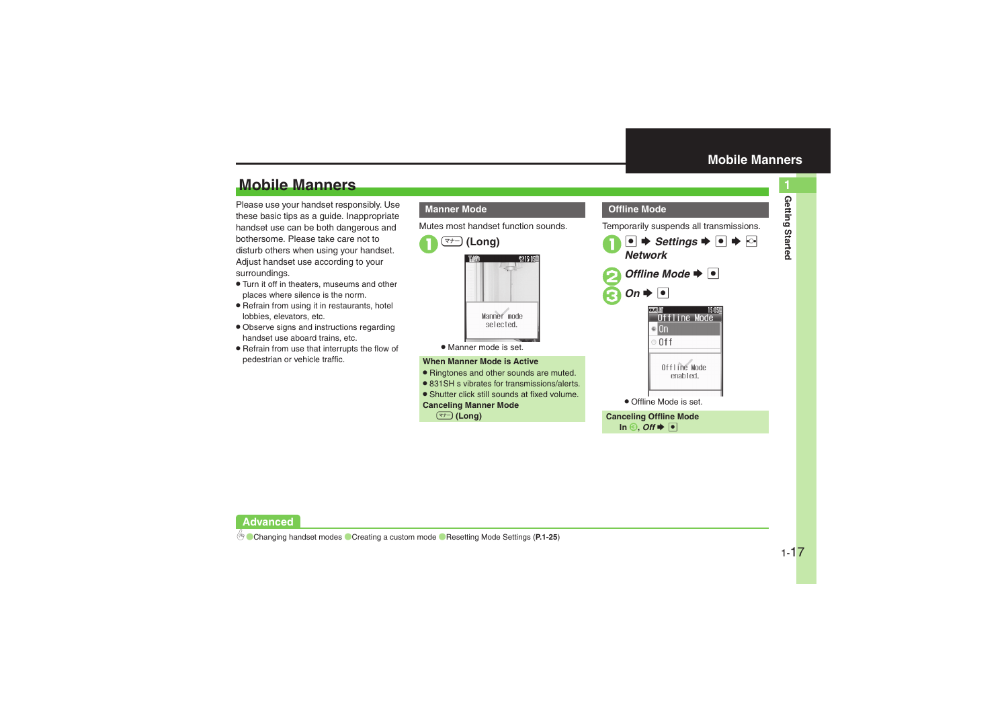### **Mobile Manners**

Please use your handset responsibly. Use these basic tips as a guide. Inappropriate handset use can be both dangerous and bothersome. Please take care not to disturb others when using your handset. Adjust handset use according to your surroundings.

- . Turn it off in theaters, museums and other places where silence is the norm.
- . Refrain from using it in restaurants, hotel lobbies, elevators, etc.
- . Observe signs and instructions regarding handset use aboard trains, etc.
- . Refrain from use that interrupts the flow of pedestrian or vehicle traffic.

#### **Manner Mode**

 $\mathbf 0$ 

Mutes most handset function sounds.



. Manner mode is set.

#### **When Manner Mode is Active**

- . Ringtones and other sounds are muted.
- . 831SH s vibrates for transmissions/alerts.
- . Shutter click still sounds at fixed volume.

#### **Canceling Manner Mode**

) **(Long)**

<span id="page-16-0"></span>

| <b>Offline Mode</b>                                                                |
|------------------------------------------------------------------------------------|
| Temporarily suspends all transmissions.                                            |
| $\bullet$ $\bullet$ Settings $\bullet$ $\bullet$ $\bullet$ $\bullet$<br>Network    |
| Offline Mode $\blacktriangleright$ $\blacktriangleright$                           |
| $On \rightarrow \Box$                                                              |
| 15 OSE<br>ffline Mode<br>'On<br>0 <sup>f</sup>                                     |
| Offline Mode<br>enabled.                                                           |
| • Offline Mode is set.                                                             |
| <b>Canceling Offline Mode</b><br>In $\Theta$ , Off $\blacktriangleright$ $\bullet$ |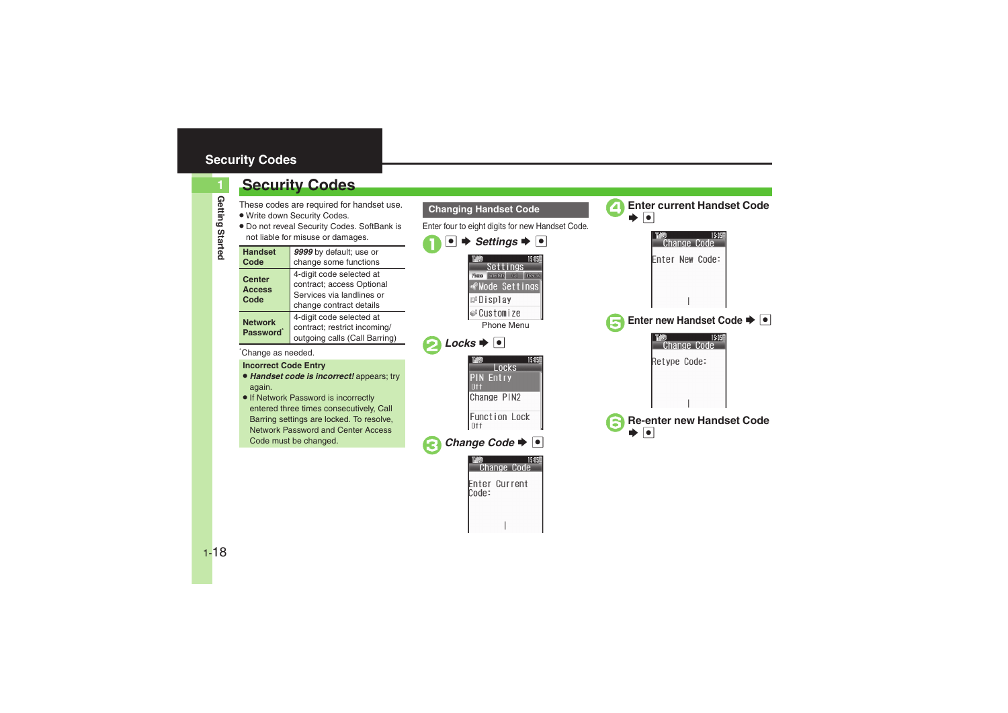### <span id="page-17-0"></span>**Security Codes**

### **Security Codes**

These codes are required for handset use.

- . Write down Security Codes.
- . Do not reveal Security Codes. SoftBank is not liable for misuse or damages.

| <b>Handset</b><br>Code                  | 9999 by default; use or<br>change some functions                                                              |  |
|-----------------------------------------|---------------------------------------------------------------------------------------------------------------|--|
| <b>Center</b><br><b>Access</b><br>Code  | 4-digit code selected at<br>contract; access Optional<br>Services via landlines or<br>change contract details |  |
| <b>Network</b><br>Password <sup>*</sup> | 4-digit code selected at<br>contract; restrict incoming/<br>outgoing calls (Call Barring)                     |  |

\*Change as needed.

#### **Incorrect Code Entry**

- . *Handset code is incorrect!* appears; try again.
- **If Network Password is incorrectly** entered three times consecutively, Call Barring settings are locked. To resolve, Network Password and Center Access Code must be changed.



**1**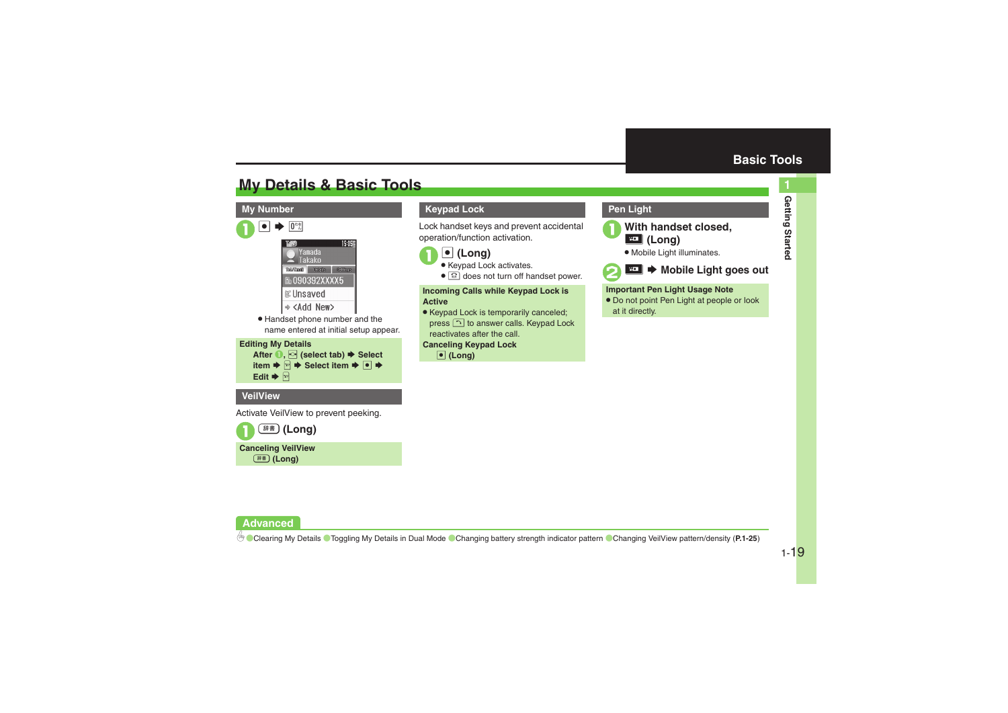**Getting Started**

Getting Started

**1**

### <span id="page-18-1"></span>**My Details & Basic Tools**

#### **My Number**



. Handset phone number and the name entered at initial setup appear.



#### **VeilView**

Activate VeilView to prevent peeking.



**Canceling VeilView** ~ **(Long)**

#### **Keypad Lock**

Lock handset keys and prevent accidental operation/function activation.



- Keypad Lock activates.
- **.**  $\textcircled{\textbf{:}}\Omega$  does not turn off handset power.

**Incoming Calls while Keypad Lock is Active**

. Keypad Lock is temporarily canceled; press  $\lceil \cdot \rceil$  to answer calls. Keypad Lock reactivates after the call.

### **Canceling Keypad Lock**

% **(Long)**

#### <span id="page-18-0"></span>**Pen Light**



**1918** With handset closed,

. Mobile Light illuminates.



**E⊡ → Mobile Light goes out** 

#### **Important Pen Light Usage Note**

. Do not point Pen Light at people or look at it directly.

#### **Advanced**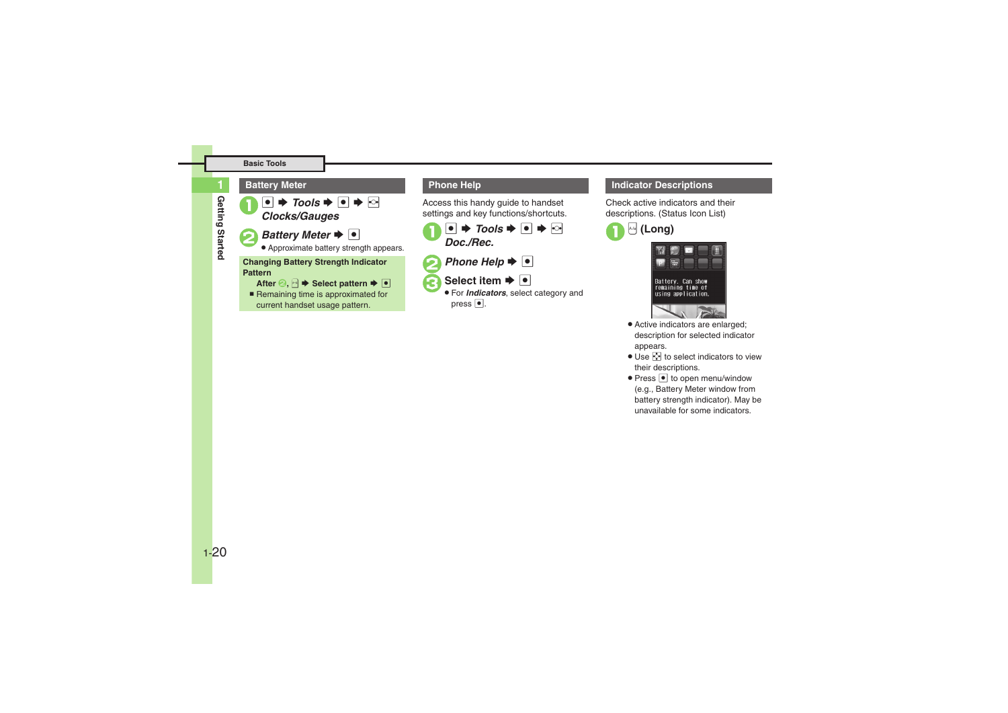#### **Basic Tools**

# Getting Started **Getting Started**

**1**

 $\bullet \bullet \bullet$  Tools  $\bullet \bullet \bullet$   $\bullet$   $\bullet$ *Battery Meter*  $\bullet$   $\bullet$  Approximate battery strength appears. **Battery Meter Changing Battery Strength Indicator Pattern**

**After <b>B**, **a**  $\blacktriangleright$  Select pattern  $\blacktriangleright$  [● ■ Remaining time is approximated for current handset usage pattern.

Access this handy guide to handset settings and key functions/shortcuts.



- **Phone Help** $\blacktriangleright$   $\lceil \bullet \rceil$
- **Select item**  $\rightarrow \bullet$
- For *Indicators*, select category and press  $\bullet$ .

#### **Phone Help Indicator Descriptions**

Check active indicators and their descriptions. (Status Icon List)





- . Active indicators are enlarged; description for selected indicator appears.
- $\bullet$  Use  $\diamondsuit$  to select indicators to view their descriptions.
- Press to open menu/window (e.g., Battery Meter window from battery strength indicator). May be unavailable for some indicators.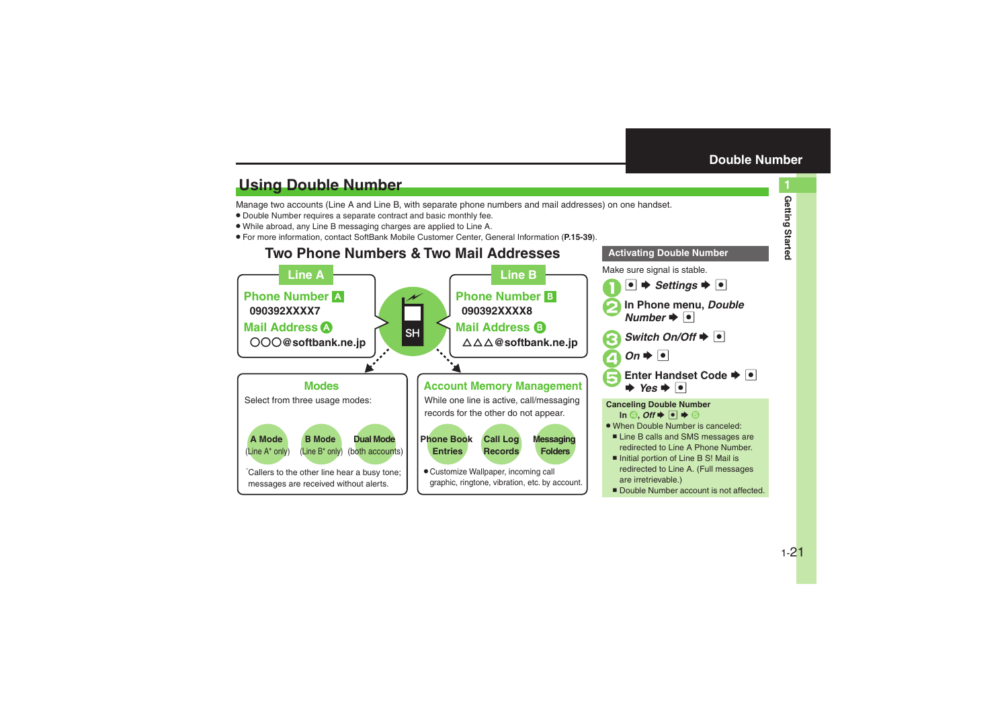<span id="page-20-0"></span>**Activating Double Number**

### <span id="page-20-1"></span>**Using Double Number**

Manage two accounts (Line A and Line B, with separate phone numbers and mail addresses) on one handset.

- . Double Number requires a separate contract and basic monthly fee.
- . While abroad, any Line B messaging charges are applied to Line A.
- . For more information, contact SoftBank Mobile Customer Center, General Information (**P.15-39**).

### **Two Phone Numbers & Two Mail Addresses**

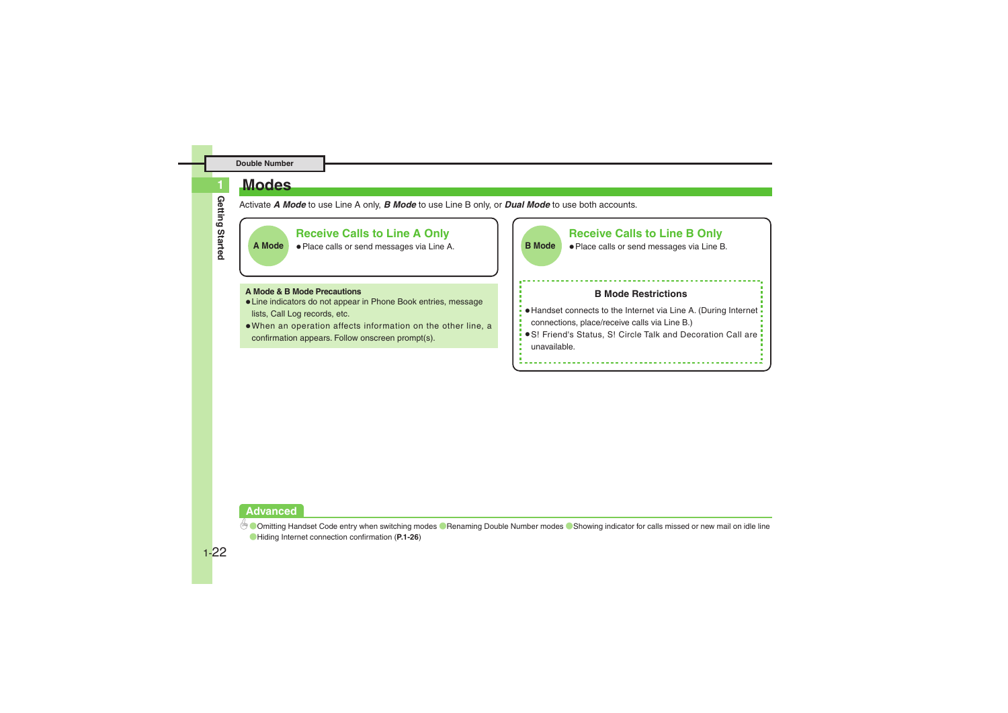### <span id="page-21-0"></span>**Modes**

**Getting Started** Getting Started

**1**

### Activate *A Mode* to use Line A only, *B Mode* to use Line B only, or *Dual Mode* to use both accounts.



#### **Advanced**

**<sup>6</sup> Comitting Handset Code entry when switching modes C[Renaming Double Number modes](#page-25-1) C[Showing indicator for calls missed or new mail on idle line](#page-25-2)** ([Hiding Internet connection confirmation](#page-25-3) (**[P.1-26](#page-25-2)**)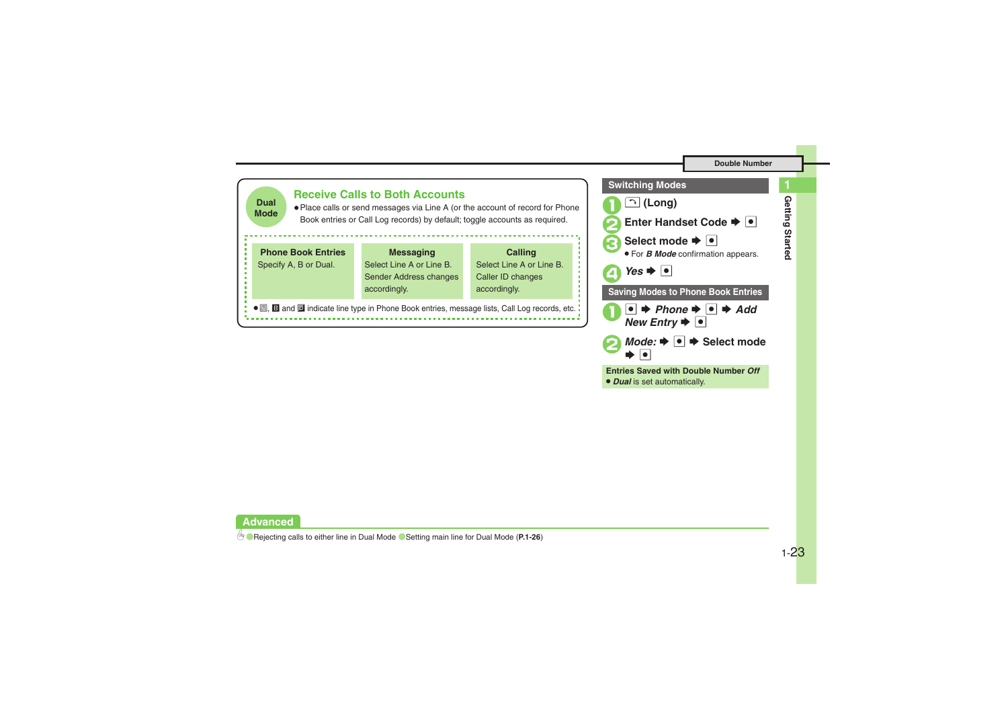**1**





 $Mode: \rightarrow \bullet \Rightarrow$  Select mode

**Entries Saved with Double Number** *Off*

 $\bullet$ 

. *Dual* is set automatically.

#### **Advanced**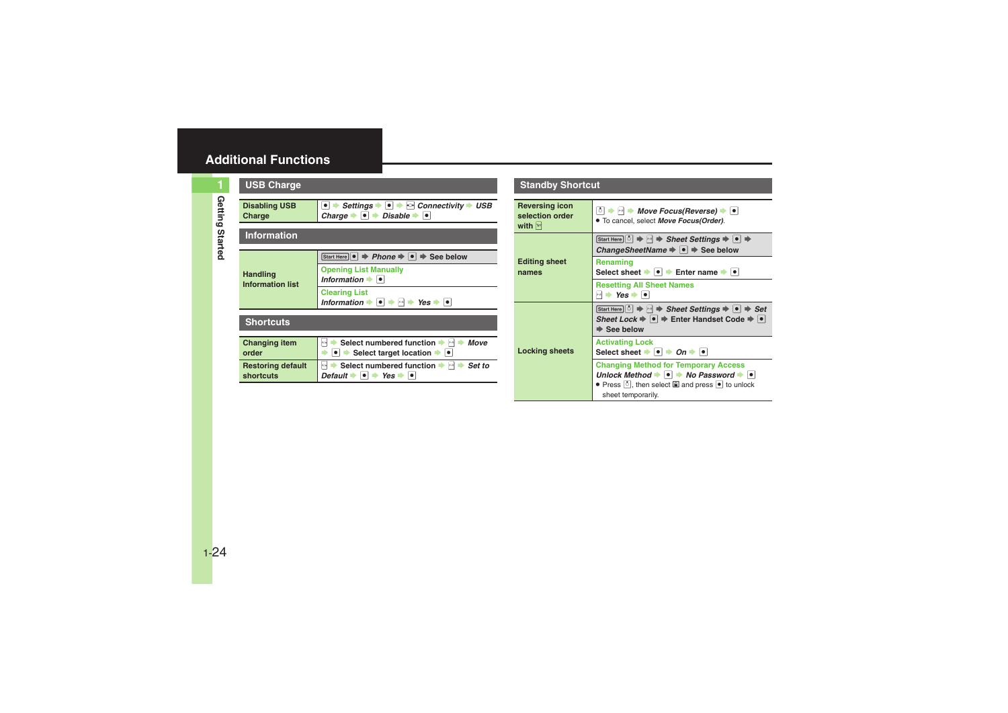### <span id="page-23-0"></span>**Additional Functions**

<span id="page-23-4"></span><span id="page-23-3"></span><span id="page-23-2"></span><span id="page-23-1"></span>**Getting Started**

Getting Started

| <b>USB Charge</b>                          |                                                                                                                                                                 |  |  |
|--------------------------------------------|-----------------------------------------------------------------------------------------------------------------------------------------------------------------|--|--|
| <b>Disabling USB</b><br>Charge             | Settings $\bullet \bullet \bullet$ Connectivity $\bullet$ USB<br>Charge $\bullet$ $\bullet$ $\bullet$ Disable $\bullet$ $\bullet$                               |  |  |
| <b>Information</b>                         |                                                                                                                                                                 |  |  |
| <b>Handling</b><br><b>Information list</b> | Start Here $\bullet$ $\Rightarrow$ Phone $\Rightarrow$ $\bullet$ $\Rightarrow$ See below<br><b>Opening List Manually</b><br>Information $\bullet$ $\bullet$     |  |  |
|                                            | <b>Clearing List</b><br>Information $\rightarrow \rightarrow \rightarrow \rightarrow \rightarrow \gamma$ es $\rightarrow \rightarrow \rightarrow$               |  |  |
| <b>Shortcuts</b>                           |                                                                                                                                                                 |  |  |
| <b>Changing item</b><br>order              | Select numbered function<br>Move<br>$x - y$<br>A/o<br>$\bullet$ $\bullet$ Select target location $\bullet$ $\bullet$                                            |  |  |
| <b>Restoring default</b><br>shortcuts      | Select numbered function $\blacktriangleright \bowtie \blacktriangleright$ Set to<br>A/o<br>Default $\rightarrow$ $\rightarrow$ Yes $\rightarrow$ $\rightarrow$ |  |  |

### **Standby Shortcut**

<span id="page-23-7"></span><span id="page-23-6"></span><span id="page-23-5"></span>

| Reversing icon<br>selection order<br>with $\vert$ $\vert$ $\vert$ $\vert$ $\vert$ | ै  $\rightarrow$ $\mid \cdot \mid$ → Move Focus(Reverse) → $\mid \cdot \mid$<br>. To cancel, select Move Focus(Order).                                                                                                                                                        |  |
|-----------------------------------------------------------------------------------|-------------------------------------------------------------------------------------------------------------------------------------------------------------------------------------------------------------------------------------------------------------------------------|--|
| <b>Editing sheet</b><br>names                                                     | Start Here   ୀ $\Rightarrow$   +   $\Rightarrow$ Sheet Settings $\Rightarrow$   •   $\Rightarrow$<br>ChangeSheetName $\Rightarrow$ $\bullet$ $\Rightarrow$ See below                                                                                                          |  |
|                                                                                   | Renaming<br>Select sheet $\bullet$ $\bullet$ Fnter name $\bullet$ $\bullet$                                                                                                                                                                                                   |  |
|                                                                                   | <b>Resetting All Sheet Names</b><br>$\mathsf{M}$ $\blacktriangleright$ Yes $\blacktriangleright$ $\lvert \bullet \rvert$                                                                                                                                                      |  |
| <b>Locking sheets</b>                                                             | Start Here $\lbrack \circ \rbrack \Rightarrow \lbrack \bullet \rbrack$ $\Rightarrow$ Sheet Settings $\Rightarrow \lbrack \bullet \rbrack \Rightarrow$ Set<br>Sheet Lock $\Rightarrow \bullet \Rightarrow$ Enter Handset Code $\Rightarrow \bullet$<br>$\Rightarrow$ See below |  |
|                                                                                   | <b>Activating Lock</b><br>Select sheet $\bullet$ $\bullet$ $\bullet$ $\bullet$ $\bullet$ $\bullet$                                                                                                                                                                            |  |
|                                                                                   | <b>Changing Method for Temporary Access</b><br>Unlock Method $\bullet \bullet \bullet$ No Password $\bullet \bullet$<br>• Press [8], then select and press • to unlock<br>sheet temporarily.                                                                                  |  |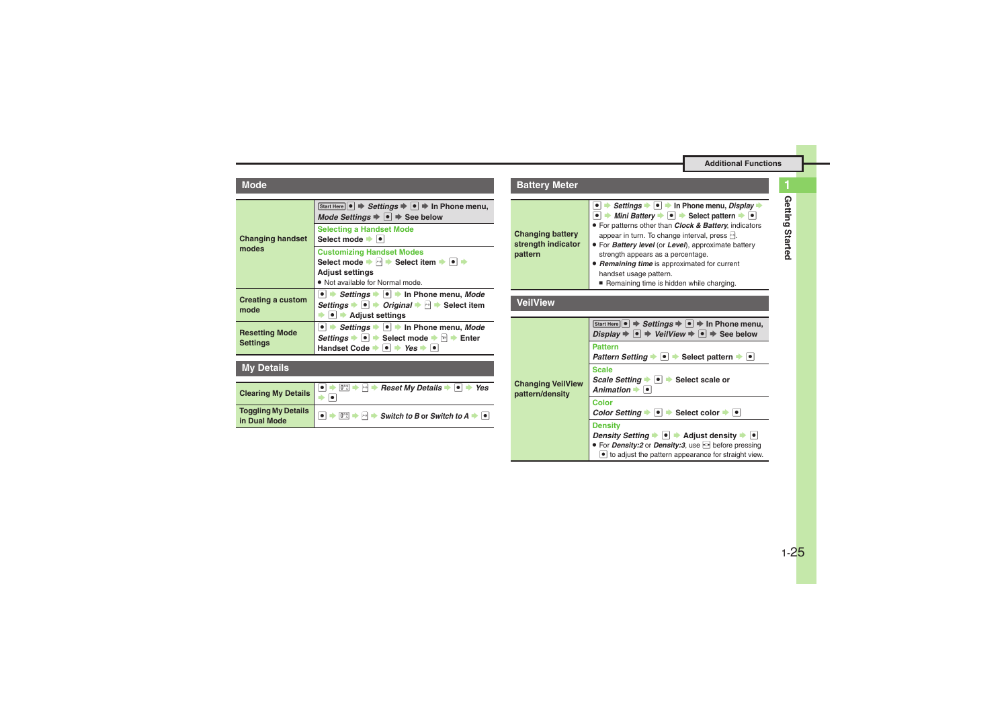**Additional Functions**

<span id="page-24-0"></span>

| <b>Changing handset</b><br>modes         | Start Here $\left  \bullet \right  \Rightarrow$ Settings $\Rightarrow$ $\left  \bullet \right  \Rightarrow$ In Phone menu,<br>Mode Settings $\Rightarrow \bullet$ $\Rightarrow$ See below                                                                                                                             |
|------------------------------------------|-----------------------------------------------------------------------------------------------------------------------------------------------------------------------------------------------------------------------------------------------------------------------------------------------------------------------|
|                                          | <b>Selecting a Handset Mode</b><br>Select mode →  •                                                                                                                                                                                                                                                                   |
|                                          | <b>Customizing Handset Modes</b>                                                                                                                                                                                                                                                                                      |
|                                          | Select mode $\blacktriangleright$ $\bowtie$ $\blacktriangleright$ Select item $\blacktriangleright$ $\blacktriangleright$ $\blacktriangleright$                                                                                                                                                                       |
|                                          | <b>Adjust settings</b>                                                                                                                                                                                                                                                                                                |
|                                          | . Not available for Normal mode.                                                                                                                                                                                                                                                                                      |
| <b>Creating a custom</b><br>mode         | $\bullet$ $\bullet$ Settings $\bullet$ $\bullet$ $\bullet$ In Phone menu, Mode<br>Settings $\bullet \bullet$ $\bullet$ Original $\bullet$ $\uparrow \bullet$ Select item<br>$\bullet$ $\bullet$ Adjust settings                                                                                                       |
| <b>Resetting Mode</b><br><b>Settings</b> | • $\rightarrow$ Settings $\rightarrow$ • In Phone menu, Mode<br>Settings $\blacktriangleright \lceil \bullet \rceil$ $\blacktriangleright$ Select mode $\blacktriangleright$ $\lvert \triangleright \rvert$ $\blacktriangleright$ Enter<br>Handset Code $\rightarrow \bullet$ $\rightarrow$ Yes $\rightarrow \bullet$ |

### <span id="page-24-2"></span><span id="page-24-1"></span>**My Details**

<span id="page-24-4"></span><span id="page-24-3"></span>

| Clearing My Details $\begin{array}{ c c c c c }\hline \bullet & \text{if } \mathbb{P} \to \mathbb{P} \to \mathbb{P} \to \mathbb{P} \to \mathbb{P} \to \mathbb{P} \to \mathbb{P} \to \mathbb{P} \to \mathbb{P} \to \mathbb{P} \to \mathbb{P} \to \mathbb{P} \to \mathbb{P} \to \mathbb{P} \to \mathbb{P} \to \mathbb{P} \to \mathbb{P} \to \mathbb{P} \to \mathbb{P} \to \mathbb{P} \to \mathbb{P} \to \mathbb{P$ |
|------------------------------------------------------------------------------------------------------------------------------------------------------------------------------------------------------------------------------------------------------------------------------------------------------------------------------------------------------------------------------------------------------------------|
| Toggling My Details $\boxed{\bullet}$ $\rightarrow$ $\boxed{\odot}$ $\rightarrow$ $\boxed{\odot}$ $\rightarrow$ Switch to B or Switch to A $\rightarrow$ $\boxed{\bullet}$                                                                                                                                                                                                                                       |

<span id="page-24-6"></span><span id="page-24-5"></span>

| <b>Battery Meter</b>                                     |                                                                                                                                                                                                                                                                                                                                                                                                                                                              |  |
|----------------------------------------------------------|--------------------------------------------------------------------------------------------------------------------------------------------------------------------------------------------------------------------------------------------------------------------------------------------------------------------------------------------------------------------------------------------------------------------------------------------------------------|--|
| <b>Changing battery</b><br>strength indicator<br>pattern | Settings → ● → In Phone menu, Display →<br>Mini Battery $\rightarrow \bullet$ $\rightarrow$ Select pattern $\rightarrow \bullet$<br>. For patterns other than Clock & Battery, indicators<br>appear in turn. To change interval, press [40].<br>• For Battery level (or Level), approximate battery<br>strength appears as a percentage.<br>Remaining time is approximated for current<br>handset usage pattern.<br>Remaining time is hidden while charging. |  |
| <b>VeilView</b>                                          |                                                                                                                                                                                                                                                                                                                                                                                                                                                              |  |
| <b>Changing VeilView</b><br>pattern/density              | Start Here $\bullet \Rightarrow$ Settings $\Rightarrow \bullet \Rightarrow$ In Phone menu,<br>Display $\Rightarrow$ $\bullet$ $\Rightarrow$ VeilView $\Rightarrow$ $\bullet$ $\Rightarrow$ See below<br><b>Pattern</b><br>Pattern Setting →   •   → Select pattern →   •                                                                                                                                                                                     |  |
|                                                          | <b>Scale</b><br>Scale Setting $\bullet$ $\bullet$ Select scale or<br>Animation $\rightarrow$ $\bullet$                                                                                                                                                                                                                                                                                                                                                       |  |
|                                                          | Color<br>Color Setting $\bullet$ $\bullet$ Select color $\bullet$ $\bullet$                                                                                                                                                                                                                                                                                                                                                                                  |  |
|                                                          | <b>Density</b><br>Density Setting $\blacktriangleright$ $\blacktriangleright$ $\blacktriangleright$ Adjust density $\blacktriangleright$ $\blacktriangleright$<br>● For Density:2 or Density:3, use <a> before pressing<br/>• to adjust the pattern appearance for straight view.</a>                                                                                                                                                                        |  |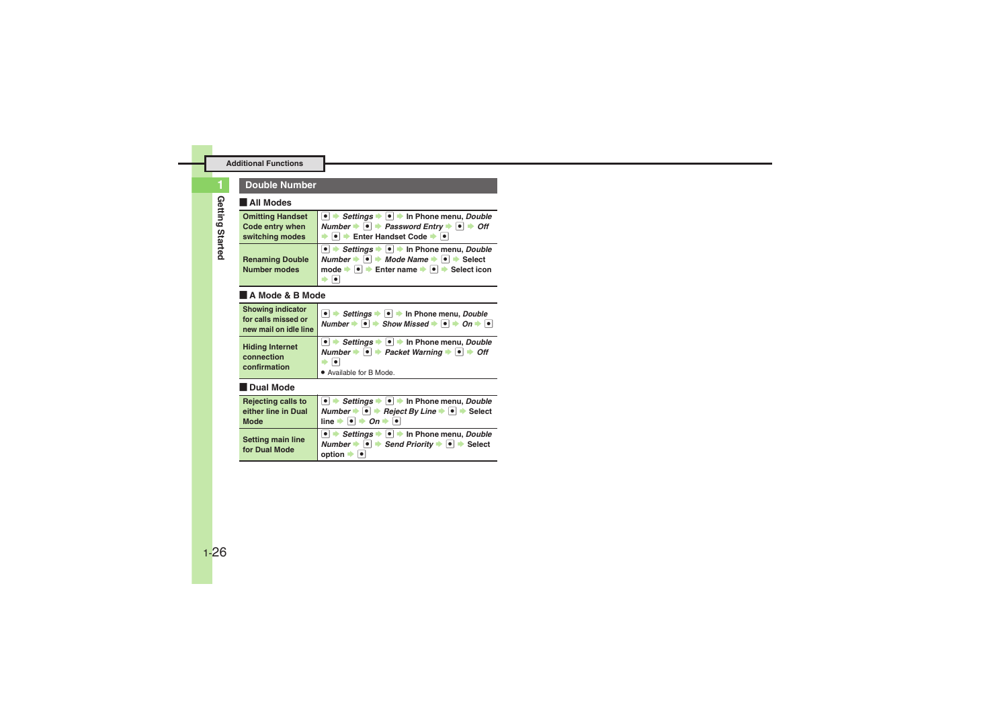#### **Double Number**

#### [ **All Modes**

<span id="page-25-0"></span>

| <b>Omitting Handset</b> | $\bullet \rightarrow$ Settings $\bullet \rightarrow \bullet$ In Phone menu, Double                    |
|-------------------------|-------------------------------------------------------------------------------------------------------|
| Code entry when         | Number $\Rightarrow$ $\bullet$ $\Rightarrow$ Password Entry $\Rightarrow$ $\bullet$ $\Rightarrow$ Off |
| switching modes         | $\bullet$ $\bullet$ Enter Handset Code $\bullet$ $\bullet$                                            |
|                         | • Settings • • • In Phone menu, Double                                                                |
| <b>Renaming Double</b>  | Number $\rightarrow$ $\bullet$ $\rightarrow$ Mode Name $\rightarrow$ $\bullet$ $\rightarrow$ Select   |
| <b>Number modes</b>     | $\bullet$ $\bullet$ Enter name $\bullet$ $\bullet$ $\bullet$ Select icon<br>$mode \rightarrow$        |
|                         |                                                                                                       |

#### <span id="page-25-1"></span>[ **A Mode & B Mode**

<span id="page-25-2"></span>

| <b>Showing indicator</b><br>for calls missed or<br>new mail on idle line | $\bullet$ $\rightarrow$ <i>Settings</i> $\rightarrow$ $\bullet$ $\rightarrow$ In Phone menu, <i>Double</i><br>Number $\rightarrow$ $\bullet$ $\rightarrow$ Show Missed $\rightarrow$ $\bullet$ $\rightarrow$ On $\rightarrow$ $\bullet$ |  |
|--------------------------------------------------------------------------|-----------------------------------------------------------------------------------------------------------------------------------------------------------------------------------------------------------------------------------------|--|
| <b>Hiding Internet</b><br>connection<br>confirmation                     | ● $\rightarrow$ Settings $\rightarrow$ ● $\rightarrow$ In Phone menu, Double<br>Number $\rightarrow$ $\bullet$ Packet Warning $\rightarrow$ $\bullet$ $\rightarrow$ Off<br>· Available for B Mode.                                      |  |

#### <span id="page-25-3"></span>[ **Dual Mode**

<span id="page-25-5"></span><span id="page-25-4"></span>

| <b>Rejecting calls to</b>                 | $\vert \vert \bullet \vert$ > Settings $\rightarrow \vert \bullet \vert$ > In Phone menu, Double                                                                              |
|-------------------------------------------|-------------------------------------------------------------------------------------------------------------------------------------------------------------------------------|
| either line in Dual                       | Number → $\bullet$ + Reject By Line $\rightarrow$ $\bullet$ $\rightarrow$ Select                                                                                              |
| <b>Mode</b>                               | line $\rightarrow$ 0 $\rightarrow$ 0n $\rightarrow$ 0                                                                                                                         |
| <b>Setting main line</b><br>for Dual Mode | $\bullet$ $\rightarrow$ Settings $\rightarrow$ $\bullet$ $\rightarrow$ In Phone menu, Double<br>Number $\rightarrow$ le → Send Priority $\rightarrow$ le → Select<br>option = |